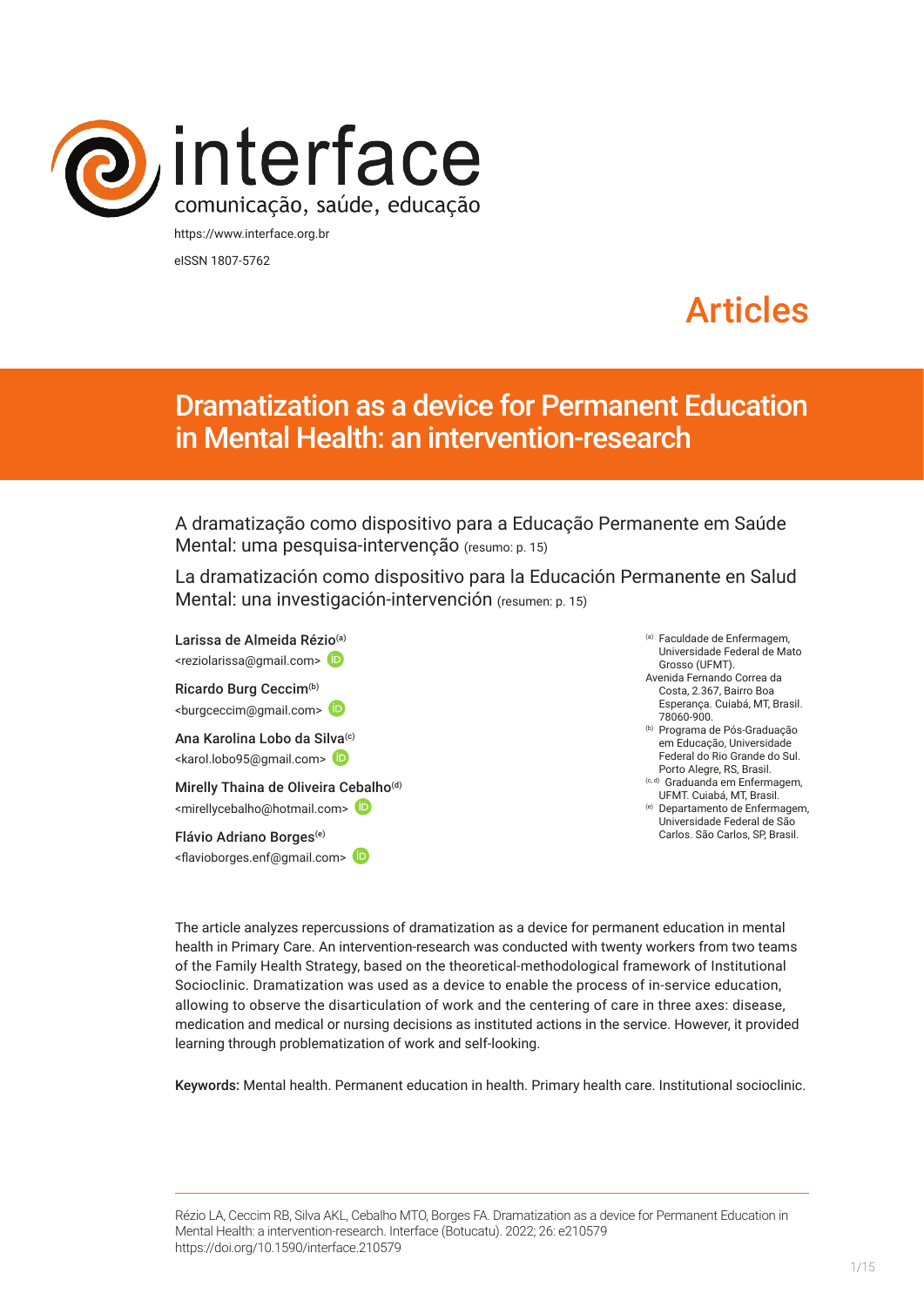

eISSN 1807-5762

# Articles

# Dramatization as a device for Permanent Education in Mental Health: an intervention-research

A dramatização como dispositivo para a Educação Permanente em Saúde Mental: uma pesquisa-intervenção (resumo: p. 15)

La dramatización como dispositivo para la Educación Permanente en Salud Mental: una investigación-intervención (resumen: p. 15)

Larissa de Almeida Réz[io](http://orcid.org/0000-0003-0750-8379)(a) <reziolarissa@gmail.com> Ricardo Burg Ceccim<sup>(b)</sup> <burgceccim@gmail.com> Ana Karolina Lobo da Silva<sup>(c)</sup> <karol.lobo95@gmail.com> Mirelly Thaina de Oliveira C[ebal](https://orcid.org/0000-0002-3904-7485)ho<sup>(d)</sup> <mirellycebalho@hotmail.com>

Flávio Adriano Borges<sup>(e)</sup> <flavioborges.enf@gmail.com>

- <sup>(a)</sup> Faculdade de Enfermagem Universidade Federal de Mato Grosso (UFMT).
- Avenida Fernando Correa da Costa, 2.367, Bairro Boa Esperança. Cuiabá, MT, Brasil. 78060-900.
- (b) Programa de Pós-Graduação em Educação, Universidade Federal do Rio Grande do Sul. Porto Alegre, RS, Brasil.
- (c, d) Graduanda em Enfermagem, UFMT. Cuiabá, MT, Brasil. (e) Departamento de Enfermagem, Universidade Federal de São Carlos. São Carlos, SP, Brasil.

The article analyzes repercussions of dramatization as a device for permanent education in mental health in Primary Care. An intervention-research was conducted with twenty workers from two teams of the Family Health Strategy, based on the theoretical-methodological framework of Institutional Socioclinic. Dramatization was used as a device to enable the process of in-service education, allowing to observe the disarticulation of work and the centering of care in three axes: disease, medication and medical or nursing decisions as instituted actions in the service. However, it provided learning through problematization of work and self-looking.

Keywords: Mental health. Permanent education in health. Primary health care. Institutional socioclinic.

Rézio LA, Ceccim RB, Silva AKL, Cebalho MTO, Borges FA. Dramatization as a device for Permanent Education in Mental Health: a intervention-research. Interface (Botucatu). 2022; 26: e210579 [https://](https://10.11606/S1518-787.201805200XXXX)doi.org/10.1590/interface.210579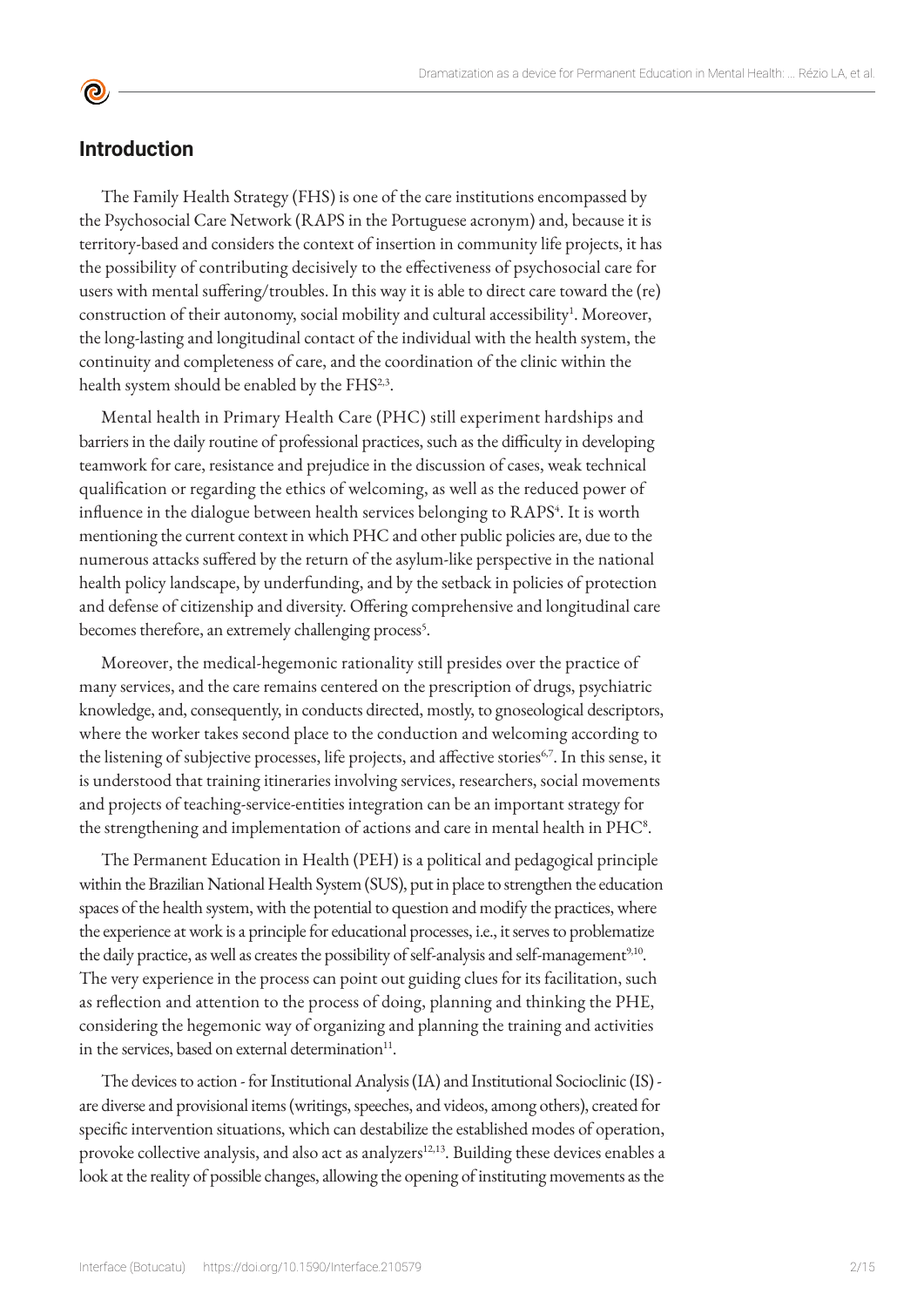## **Introduction**

<u>ල</u>

The Family Health Strategy (FHS) is one of the care institutions encompassed by the Psychosocial Care Network (RAPS in the Portuguese acronym) and, because it is territory-based and considers the context of insertion in community life projects, it has the possibility of contributing decisively to the effectiveness of psychosocial care for users with mental suffering/troubles. In this way it is able to direct care toward the (re) construction of their autonomy, social mobility and cultural accessibility<sup>1</sup>. Moreover, the long-lasting and longitudinal contact of the individual with the health system, the continuity and completeness of care, and the coordination of the clinic within the health system should be enabled by the FHS<sup>2,3</sup>.

Mental health in Primary Health Care (PHC) still experiment hardships and barriers in the daily routine of professional practices, such as the difficulty in developing teamwork for care, resistance and prejudice in the discussion of cases, weak technical qualification or regarding the ethics of welcoming, as well as the reduced power of influence in the dialogue between health services belonging to RAPS<sup>4</sup>. It is worth mentioning the current context in which PHC and other public policies are, due to the numerous attacks suffered by the return of the asylum-like perspective in the national health policy landscape, by underfunding, and by the setback in policies of protection and defense of citizenship and diversity. Offering comprehensive and longitudinal care becomes therefore, an extremely challenging process<sup>5</sup>.

Moreover, the medical-hegemonic rationality still presides over the practice of many services, and the care remains centered on the prescription of drugs, psychiatric knowledge, and, consequently, in conducts directed, mostly, to gnoseological descriptors, where the worker takes second place to the conduction and welcoming according to the listening of subjective processes, life projects, and affective stories<sup>6,7</sup>. In this sense, it is understood that training itineraries involving services, researchers, social movements and projects of teaching-service-entities integration can be an important strategy for the strengthening and implementation of actions and care in mental health in  $\mathrm{PHC}^8$ .

The Permanent Education in Health (PEH) is a political and pedagogical principle within the Brazilian National Health System (SUS), put in place to strengthen the education spaces of the health system, with the potential to question and modify the practices, where the experience at work is a principle for educational processes, i.e., it serves to problematize the daily practice, as well as creates the possibility of self-analysis and self-management $^{9,10}$ . The very experience in the process can point out guiding clues for its facilitation, such as reflection and attention to the process of doing, planning and thinking the PHE, considering the hegemonic way of organizing and planning the training and activities in the services, based on external determination $11$ .

The devices to action - for Institutional Analysis (IA) and Institutional Socioclinic (IS) are diverse and provisional items (writings, speeches, and videos, among others), created for specific intervention situations, which can destabilize the established modes of operation, provoke collective analysis, and also act as analyzers<sup>12,13</sup>. Building these devices enables a look at the reality of possible changes, allowing the opening of instituting movements as the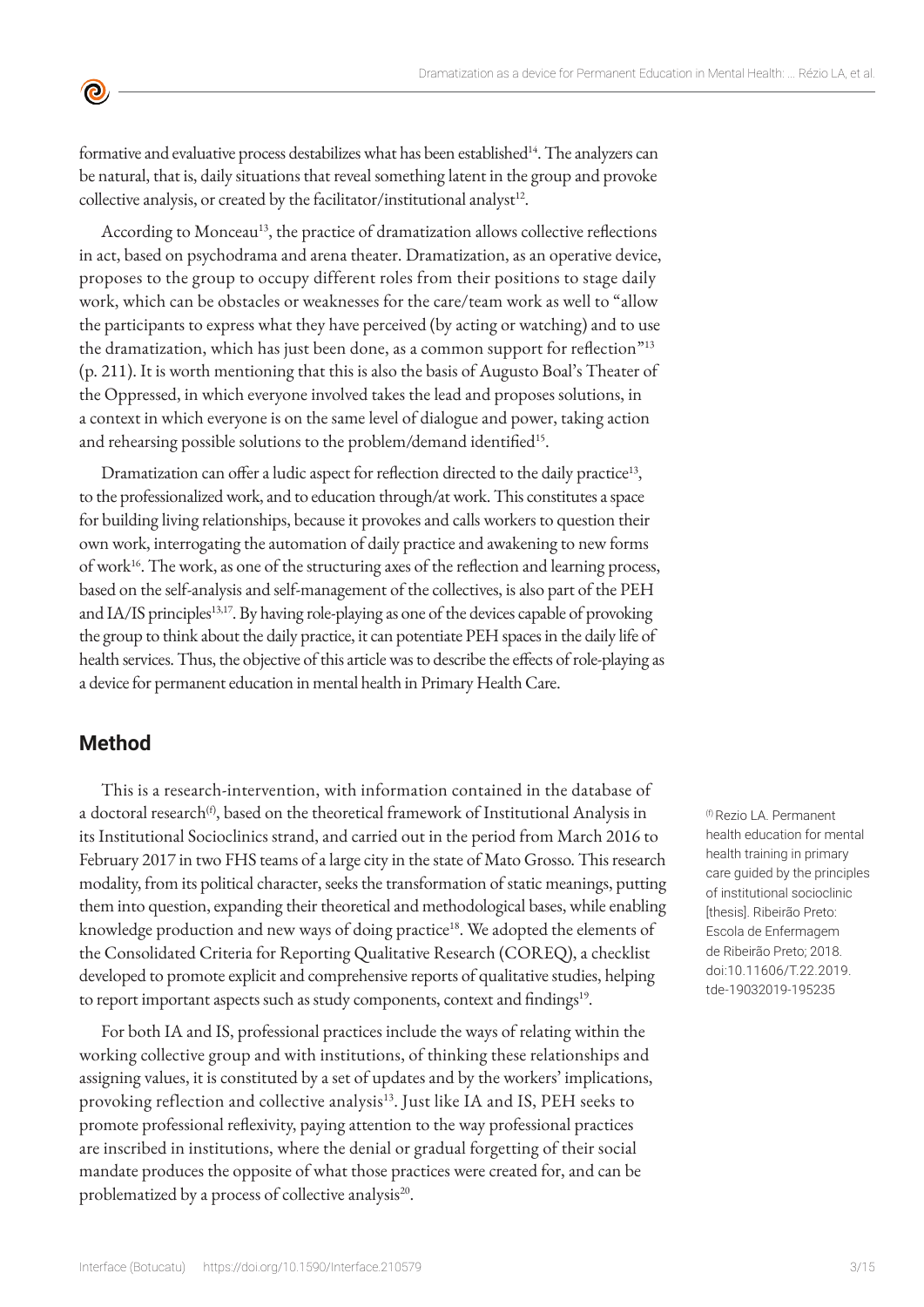formative and evaluative process destabilizes what has been established<sup>14</sup>. The analyzers can be natural, that is, daily situations that reveal something latent in the group and provoke collective analysis, or created by the facilitator/institutional analyst<sup>12</sup>.

According to Monceau<sup>13</sup>, the practice of dramatization allows collective reflections in act, based on psychodrama and arena theater. Dramatization, as an operative device, proposes to the group to occupy different roles from their positions to stage daily work, which can be obstacles or weaknesses for the care/team work as well to "allow the participants to express what they have perceived (by acting or watching) and to use the dramatization, which has just been done, as a common support for reflection"<sup>13</sup> (p. 211). It is worth mentioning that this is also the basis of Augusto Boal's Theater of the Oppressed, in which everyone involved takes the lead and proposes solutions, in a context in which everyone is on the same level of dialogue and power, taking action and rehearsing possible solutions to the problem/demand identified<sup>15</sup>.

Dramatization can offer a ludic aspect for reflection directed to the daily practice<sup>13</sup>, to the professionalized work, and to education through/at work. This constitutes a space for building living relationships, because it provokes and calls workers to question their own work, interrogating the automation of daily practice and awakening to new forms of work<sup>16</sup>. The work, as one of the structuring axes of the reflection and learning process, based on the self-analysis and self-management of the collectives, is also part of the PEH and IA/IS principles<sup>13,17</sup>. By having role-playing as one of the devices capable of provoking the group to think about the daily practice, it can potentiate PEH spaces in the daily life of health services. Thus, the objective of this article was to describe the effects of role-playing as a device for permanent education in mental health in Primary Health Care.

# **Method**

 $\bullet$ 

This is a research-intervention, with information contained in the database of a doctoral research $(6)$ , based on the theoretical framework of Institutional Analysis in its Institutional Socioclinics strand, and carried out in the period from March 2016 to February 2017 in two FHS teams of a large city in the state of Mato Grosso. This research modality, from its political character, seeks the transformation of static meanings, putting them into question, expanding their theoretical and methodological bases, while enabling knowledge production and new ways of doing practice<sup>18</sup>. We adopted the elements of the Consolidated Criteria for Reporting Qualitative Research (COREQ), a checklist developed to promote explicit and comprehensive reports of qualitative studies, helping to report important aspects such as study components, context and findings<sup>19</sup>.

For both IA and IS, professional practices include the ways of relating within the working collective group and with institutions, of thinking these relationships and assigning values, it is constituted by a set of updates and by the workers' implications, provoking reflection and collective analysis<sup>13</sup>. Just like IA and IS, PEH seeks to promote professional reflexivity, paying attention to the way professional practices are inscribed in institutions, where the denial or gradual forgetting of their social mandate produces the opposite of what those practices were created for, and can be problematized by a process of collective analysis<sup>20</sup>.

(f) Rezio LA. Permanent health education for mental health training in primary care guided by the principles of institutional socioclinic [thesis]. Ribeirão Preto: Escola de Enfermagem de Ribeirão Preto; 2018. doi:10.11606/T.22.2019. tde-19032019-195235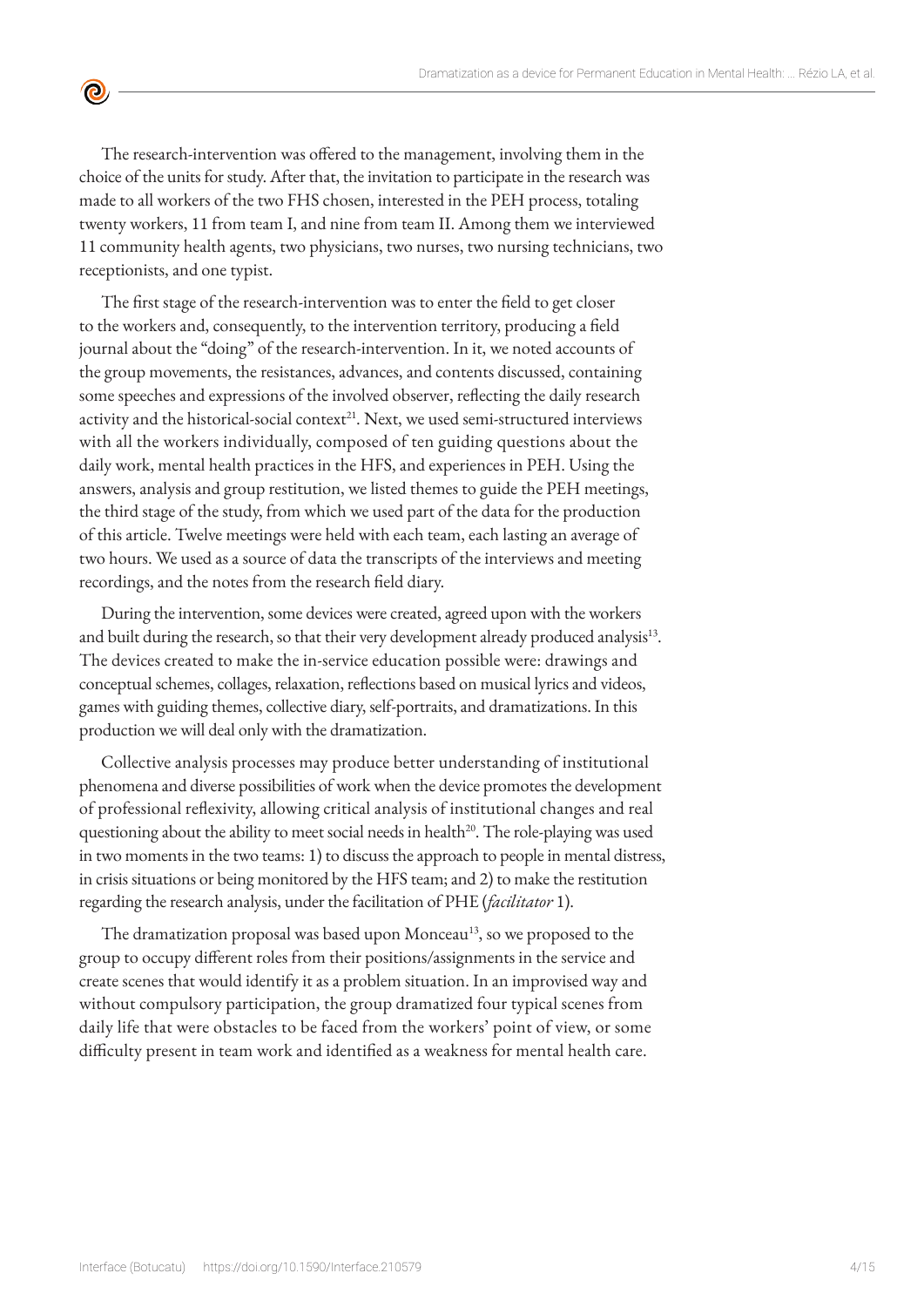The research-intervention was offered to the management, involving them in the choice of the units for study. After that, the invitation to participate in the research was made to all workers of the two FHS chosen, interested in the PEH process, totaling twenty workers, 11 from team I, and nine from team II. Among them we interviewed 11 community health agents, two physicians, two nurses, two nursing technicians, two receptionists, and one typist.

<u>ල</u>

The first stage of the research-intervention was to enter the field to get closer to the workers and, consequently, to the intervention territory, producing a field journal about the "doing" of the research-intervention. In it, we noted accounts of the group movements, the resistances, advances, and contents discussed, containing some speeches and expressions of the involved observer, reflecting the daily research activity and the historical-social context<sup>21</sup>. Next, we used semi-structured interviews with all the workers individually, composed of ten guiding questions about the daily work, mental health practices in the HFS, and experiences in PEH. Using the answers, analysis and group restitution, we listed themes to guide the PEH meetings, the third stage of the study, from which we used part of the data for the production of this article. Twelve meetings were held with each team, each lasting an average of two hours. We used as a source of data the transcripts of the interviews and meeting recordings, and the notes from the research field diary.

During the intervention, some devices were created, agreed upon with the workers and built during the research, so that their very development already produced analysis<sup>13</sup>. The devices created to make the in-service education possible were: drawings and conceptual schemes, collages, relaxation, reflections based on musical lyrics and videos, games with guiding themes, collective diary, self-portraits, and dramatizations. In this production we will deal only with the dramatization.

Collective analysis processes may produce better understanding of institutional phenomena and diverse possibilities of work when the device promotes the development of professional reflexivity, allowing critical analysis of institutional changes and real questioning about the ability to meet social needs in health<sup>20</sup>. The role-playing was used in two moments in the two teams: 1) to discuss the approach to people in mental distress, in crisis situations or being monitored by the HFS team; and 2) to make the restitution regarding the research analysis, under the facilitation of PHE (*facilitator* 1).

The dramatization proposal was based upon Monceau<sup>13</sup>, so we proposed to the group to occupy different roles from their positions/assignments in the service and create scenes that would identify it as a problem situation. In an improvised way and without compulsory participation, the group dramatized four typical scenes from daily life that were obstacles to be faced from the workers' point of view, or some difficulty present in team work and identified as a weakness for mental health care.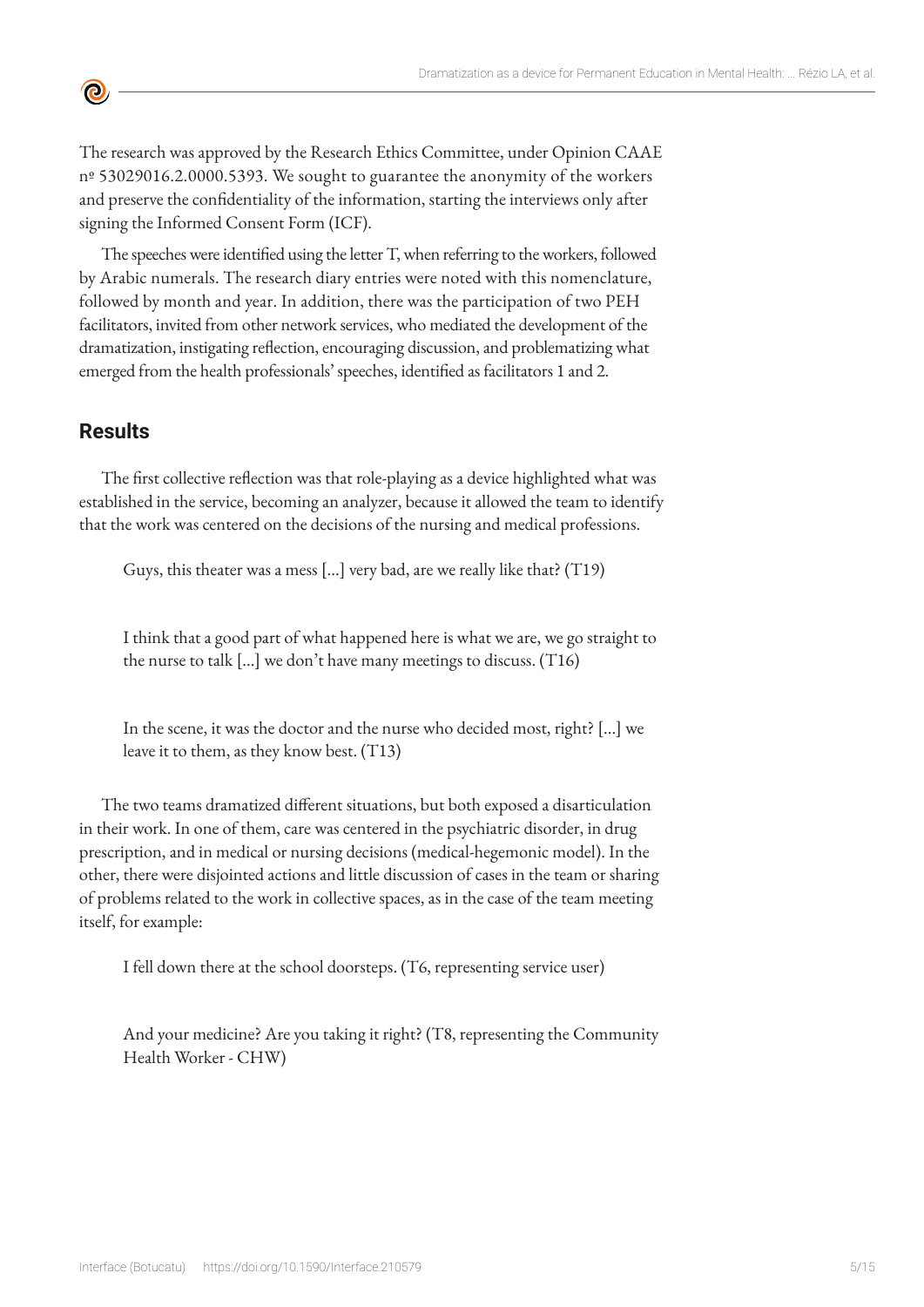The research was approved by the Research Ethics Committee, under Opinion CAAE nº 53029016.2.0000.5393. We sought to guarantee the anonymity of the workers and preserve the confidentiality of the information, starting the interviews only after signing the Informed Consent Form (ICF).

The speeches were identified using the letter T, when referring to the workers, followed by Arabic numerals. The research diary entries were noted with this nomenclature, followed by month and year. In addition, there was the participation of two PEH facilitators, invited from other network services, who mediated the development of the dramatization, instigating reflection, encouraging discussion, and problematizing what emerged from the health professionals' speeches, identified as facilitators 1 and 2.

# **Results**

<u>ල</u>

The first collective reflection was that role-playing as a device highlighted what was established in the service, becoming an analyzer, because it allowed the team to identify that the work was centered on the decisions of the nursing and medical professions.

Guys, this theater was a mess [...] very bad, are we really like that? (T19)

I think that a good part of what happened here is what we are, we go straight to the nurse to talk  $[...]$  we don't have many meetings to discuss. (T16)

In the scene, it was the doctor and the nurse who decided most, right? [...] we leave it to them, as they know best. (T13)

The two teams dramatized different situations, but both exposed a disarticulation in their work. In one of them, care was centered in the psychiatric disorder, in drug prescription, and in medical or nursing decisions (medical-hegemonic model). In the other, there were disjointed actions and little discussion of cases in the team or sharing of problems related to the work in collective spaces, as in the case of the team meeting itself, for example:

I fell down there at the school doorsteps. (T6, representing service user)

And your medicine? Are you taking it right? (T8, representing the Community Health Worker - CHW)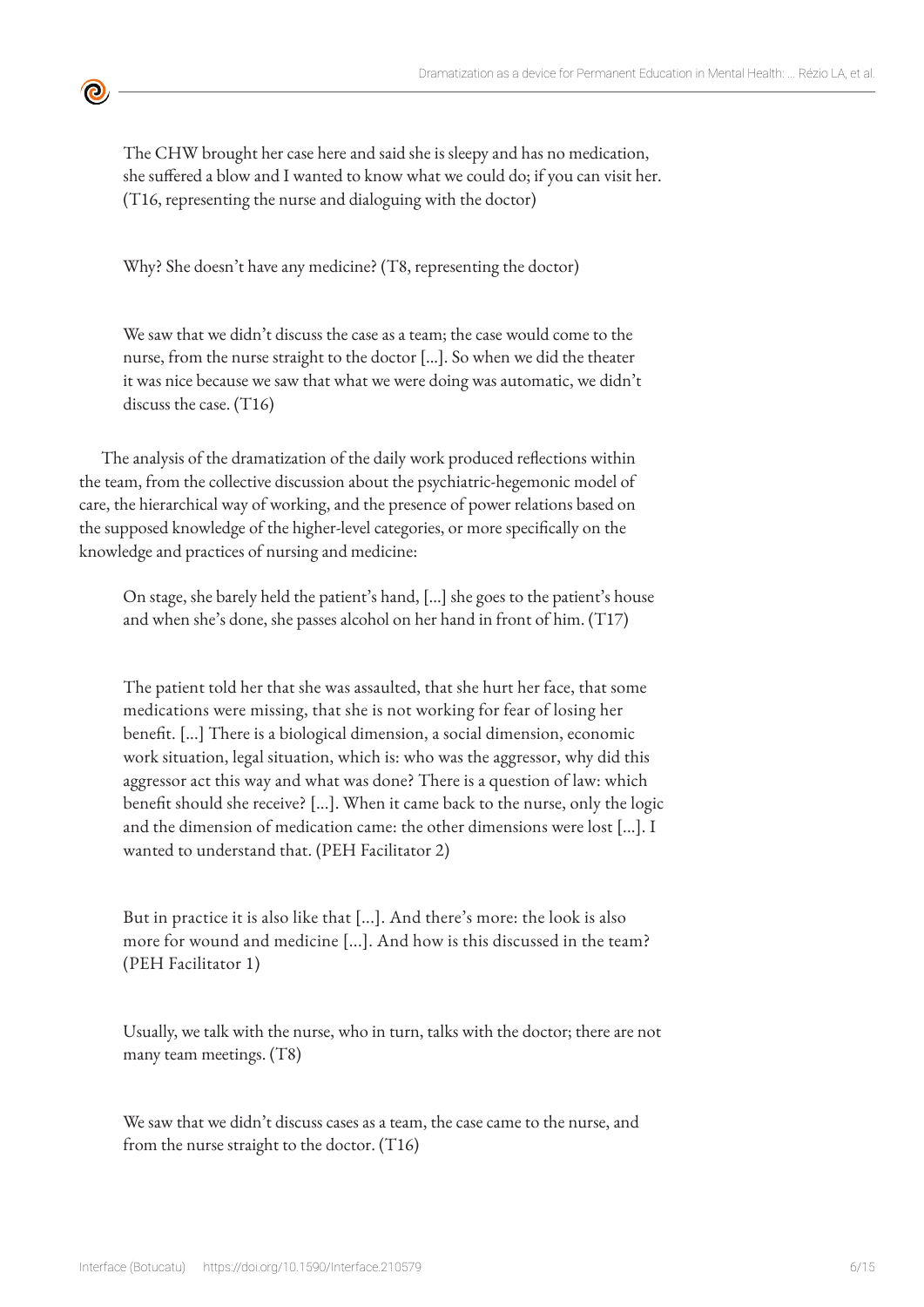The CHW brought her case here and said she is sleepy and has no medication, she suffered a blow and I wanted to know what we could do; if you can visit her. (T16, representing the nurse and dialoguing with the doctor)

Why? She doesn't have any medicine? (T8, representing the doctor)

We saw that we didn't discuss the case as a team; the case would come to the nurse, from the nurse straight to the doctor [...]. So when we did the theater it was nice because we saw that what we were doing was automatic, we didn't discuss the case. (T16)

The analysis of the dramatization of the daily work produced reflections within the team, from the collective discussion about the psychiatric-hegemonic model of care, the hierarchical way of working, and the presence of power relations based on the supposed knowledge of the higher-level categories, or more specifically on the knowledge and practices of nursing and medicine:

On stage, she barely held the patient's hand, [...] she goes to the patient's house and when she's done, she passes alcohol on her hand in front of him. (T17)

The patient told her that she was assaulted, that she hurt her face, that some medications were missing, that she is not working for fear of losing her benefit. [...] There is a biological dimension, a social dimension, economic work situation, legal situation, which is: who was the aggressor, why did this aggressor act this way and what was done? There is a question of law: which benefit should she receive? [...]. When it came back to the nurse, only the logic and the dimension of medication came: the other dimensions were lost [...]. I wanted to understand that. (PEH Facilitator 2)

But in practice it is also like that [...]. And there's more: the look is also more for wound and medicine [...]. And how is this discussed in the team? (PEH Facilitator 1)

Usually, we talk with the nurse, who in turn, talks with the doctor; there are not many team meetings. (T8)

We saw that we didn't discuss cases as a team, the case came to the nurse, and from the nurse straight to the doctor. (T16)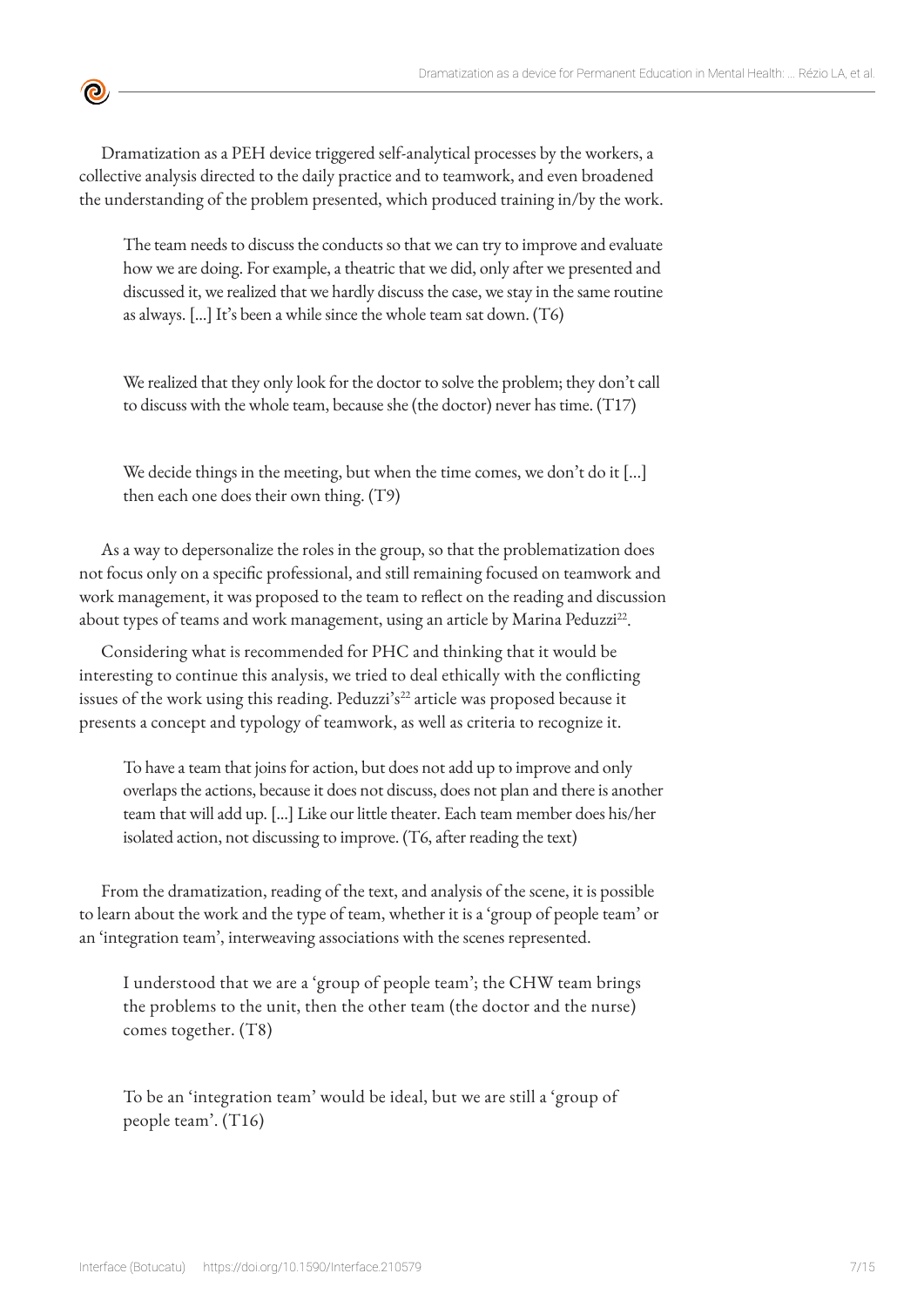Dramatization as a PEH device triggered self-analytical processes by the workers, a collective analysis directed to the daily practice and to teamwork, and even broadened the understanding of the problem presented, which produced training in/by the work.

<u>ල</u>

The team needs to discuss the conducts so that we can try to improve and evaluate how we are doing. For example, a theatric that we did, only after we presented and discussed it, we realized that we hardly discuss the case, we stay in the same routine as always. [...] It's been a while since the whole team sat down. (T6)

We realized that they only look for the doctor to solve the problem; they don't call to discuss with the whole team, because she (the doctor) never has time. (T17)

We decide things in the meeting, but when the time comes, we don't do it [...] then each one does their own thing. (T9)

As a way to depersonalize the roles in the group, so that the problematization does not focus only on a specific professional, and still remaining focused on teamwork and work management, it was proposed to the team to reflect on the reading and discussion about types of teams and work management, using an article by Marina Peduzzi<sup>22</sup>.

Considering what is recommended for PHC and thinking that it would be interesting to continue this analysis, we tried to deal ethically with the conflicting issues of the work using this reading. Peduzzi's<sup>22</sup> article was proposed because it presents a concept and typology of teamwork, as well as criteria to recognize it.

To have a team that joins for action, but does not add up to improve and only overlaps the actions, because it does not discuss, does not plan and there is another team that will add up. [...] Like our little theater. Each team member does his/her isolated action, not discussing to improve. (T6, after reading the text)

From the dramatization, reading of the text, and analysis of the scene, it is possible to learn about the work and the type of team, whether it is a 'group of people team' or an 'integration team', interweaving associations with the scenes represented.

I understood that we are a 'group of people team'; the CHW team brings the problems to the unit, then the other team (the doctor and the nurse) comes together. (T8)

To be an 'integration team' would be ideal, but we are still a 'group of people team'. (T16)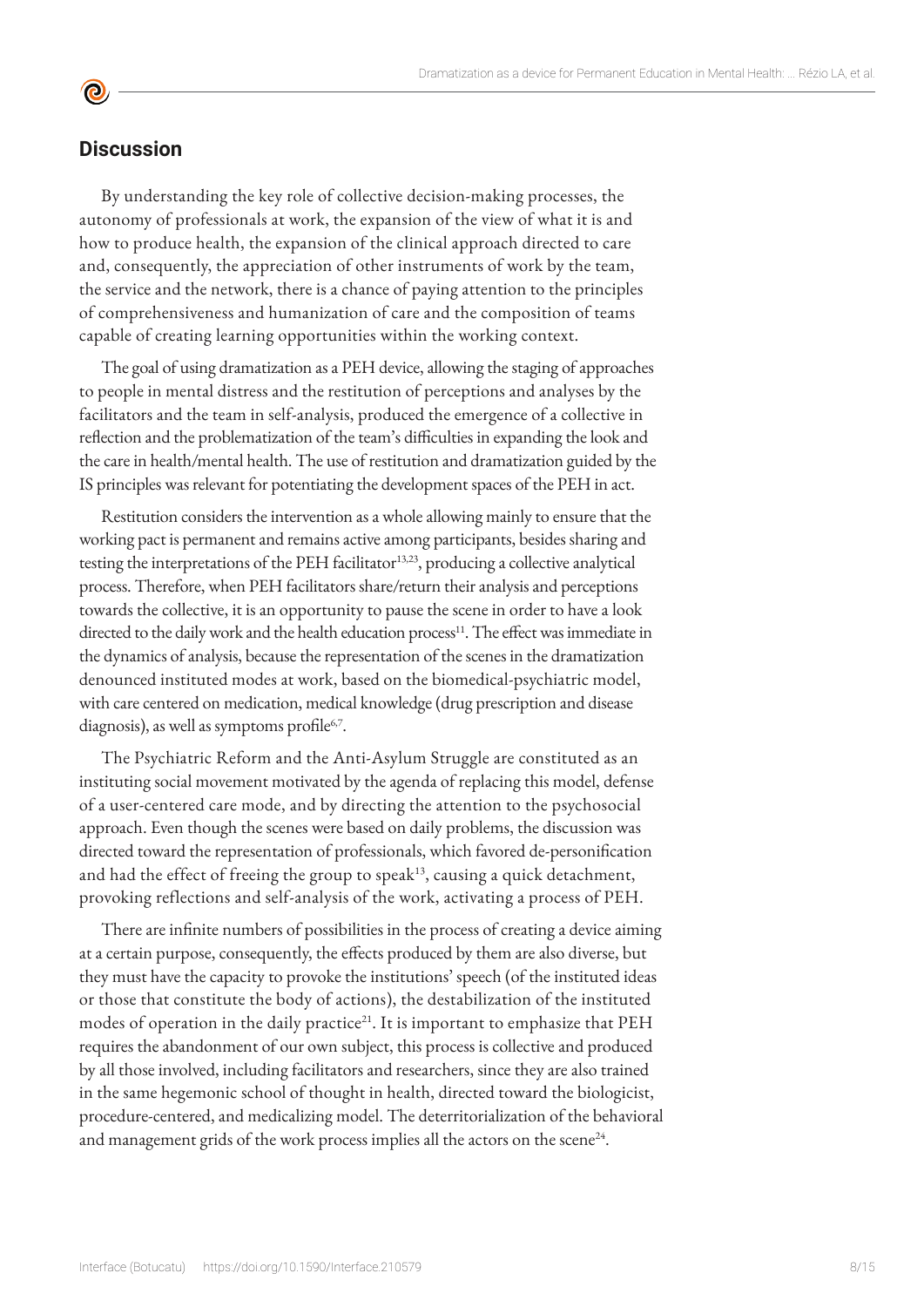## **Discussion**

**©** 

By understanding the key role of collective decision-making processes, the autonomy of professionals at work, the expansion of the view of what it is and how to produce health, the expansion of the clinical approach directed to care and, consequently, the appreciation of other instruments of work by the team, the service and the network, there is a chance of paying attention to the principles of comprehensiveness and humanization of care and the composition of teams capable of creating learning opportunities within the working context.

The goal of using dramatization as a PEH device, allowing the staging of approaches to people in mental distress and the restitution of perceptions and analyses by the facilitators and the team in self-analysis, produced the emergence of a collective in reflection and the problematization of the team's difficulties in expanding the look and the care in health/mental health. The use of restitution and dramatization guided by the IS principles was relevant for potentiating the development spaces of the PEH in act.

Restitution considers the intervention as a whole allowing mainly to ensure that the working pact is permanent and remains active among participants, besides sharing and testing the interpretations of the PEH facilitator<sup>13,23</sup>, producing a collective analytical process. Therefore, when PEH facilitators share/return their analysis and perceptions towards the collective, it is an opportunity to pause the scene in order to have a look directed to the daily work and the health education process<sup>11</sup>. The effect was immediate in the dynamics of analysis, because the representation of the scenes in the dramatization denounced instituted modes at work, based on the biomedical-psychiatric model, with care centered on medication, medical knowledge (drug prescription and disease diagnosis), as well as symptoms profile<sup>6,7</sup>.

The Psychiatric Reform and the Anti-Asylum Struggle are constituted as an instituting social movement motivated by the agenda of replacing this model, defense of a user-centered care mode, and by directing the attention to the psychosocial approach. Even though the scenes were based on daily problems, the discussion was directed toward the representation of professionals, which favored de-personification and had the effect of freeing the group to speak<sup>13</sup>, causing a quick detachment, provoking reflections and self-analysis of the work, activating a process of PEH.

There are infinite numbers of possibilities in the process of creating a device aiming at a certain purpose, consequently, the effects produced by them are also diverse, but they must have the capacity to provoke the institutions' speech (of the instituted ideas or those that constitute the body of actions), the destabilization of the instituted modes of operation in the daily practice<sup>21</sup>. It is important to emphasize that PEH requires the abandonment of our own subject, this process is collective and produced by all those involved, including facilitators and researchers, since they are also trained in the same hegemonic school of thought in health, directed toward the biologicist, procedure-centered, and medicalizing model. The deterritorialization of the behavioral and management grids of the work process implies all the actors on the scene<sup>24</sup>.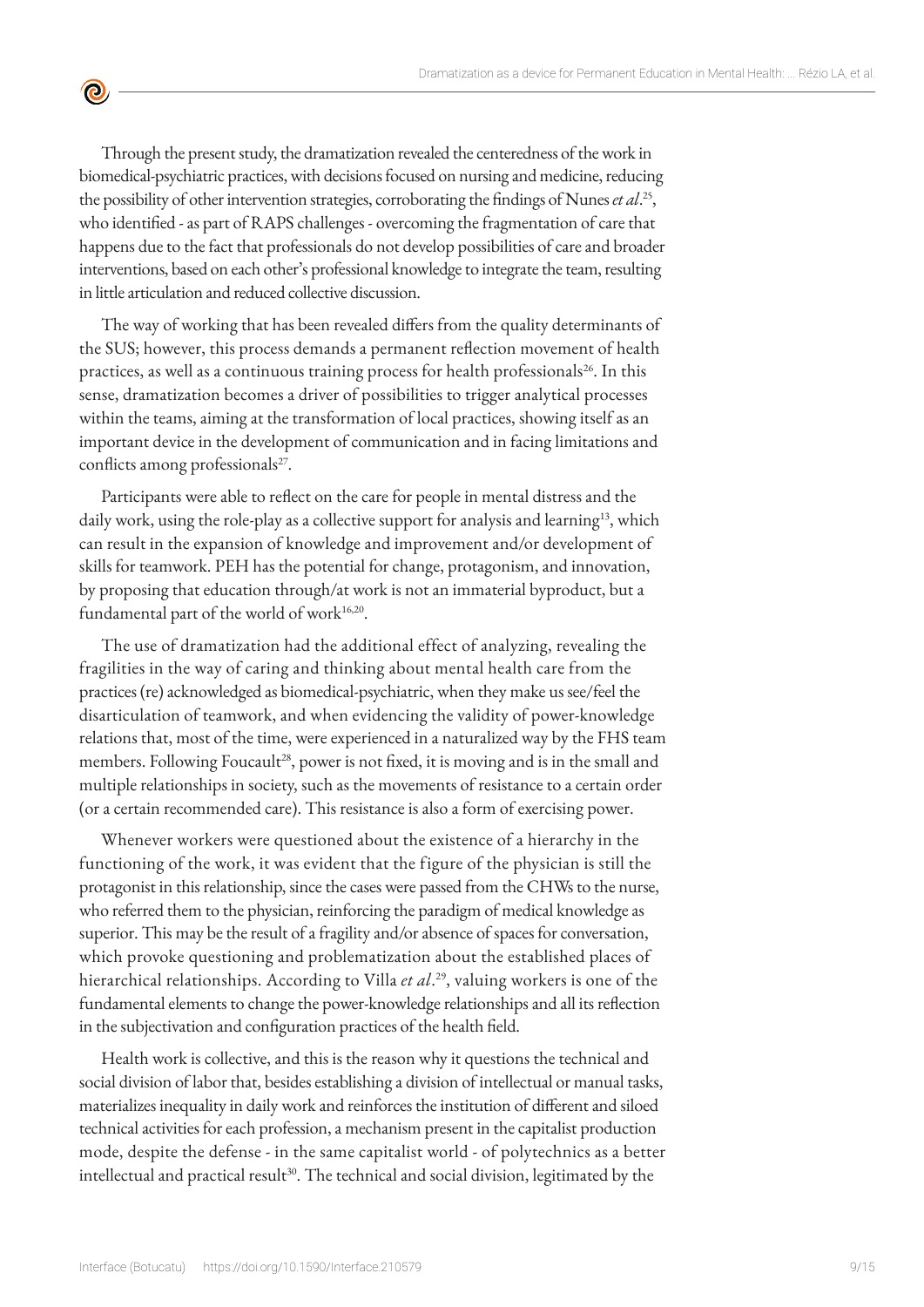Through the present study, the dramatization revealed the centeredness of the work in biomedical-psychiatric practices, with decisions focused on nursing and medicine, reducing the possibility of other intervention strategies, corroborating the findings of Nunes *et al*. 25, who identified - as part of RAPS challenges - overcoming the fragmentation of care that happens due to the fact that professionals do not develop possibilities of care and broader interventions, based on each other's professional knowledge to integrate the team, resulting in little articulation and reduced collective discussion.

 $\bullet$ 

The way of working that has been revealed differs from the quality determinants of the SUS; however, this process demands a permanent reflection movement of health practices, as well as a continuous training process for health professionals<sup>26</sup>. In this sense, dramatization becomes a driver of possibilities to trigger analytical processes within the teams, aiming at the transformation of local practices, showing itself as an important device in the development of communication and in facing limitations and conflicts among professionals<sup>27</sup>.

Participants were able to reflect on the care for people in mental distress and the daily work, using the role-play as a collective support for analysis and learning<sup>13</sup>, which can result in the expansion of knowledge and improvement and/or development of skills for teamwork. PEH has the potential for change, protagonism, and innovation, by proposing that education through/at work is not an immaterial byproduct, but a fundamental part of the world of work $16,20$ .

The use of dramatization had the additional effect of analyzing, revealing the fragilities in the way of caring and thinking about mental health care from the practices (re) acknowledged as biomedical-psychiatric, when they make us see/feel the disarticulation of teamwork, and when evidencing the validity of power-knowledge relations that, most of the time, were experienced in a naturalized way by the FHS team members. Following Foucault<sup>28</sup>, power is not fixed, it is moving and is in the small and multiple relationships in society, such as the movements of resistance to a certain order (or a certain recommended care). This resistance is also a form of exercising power.

Whenever workers were questioned about the existence of a hierarchy in the functioning of the work, it was evident that the figure of the physician is still the protagonist in this relationship, since the cases were passed from the CHWs to the nurse, who referred them to the physician, reinforcing the paradigm of medical knowledge as superior. This may be the result of a fragility and/or absence of spaces for conversation, which provoke questioning and problematization about the established places of hierarchical relationships. According to Villa *et al*. 29, valuing workers is one of the fundamental elements to change the power-knowledge relationships and all its reflection in the subjectivation and configuration practices of the health field.

Health work is collective, and this is the reason why it questions the technical and social division of labor that, besides establishing a division of intellectual or manual tasks, materializes inequality in daily work and reinforces the institution of different and siloed technical activities for each profession, a mechanism present in the capitalist production mode, despite the defense - in the same capitalist world - of polytechnics as a better intellectual and practical result<sup>30</sup>. The technical and social division, legitimated by the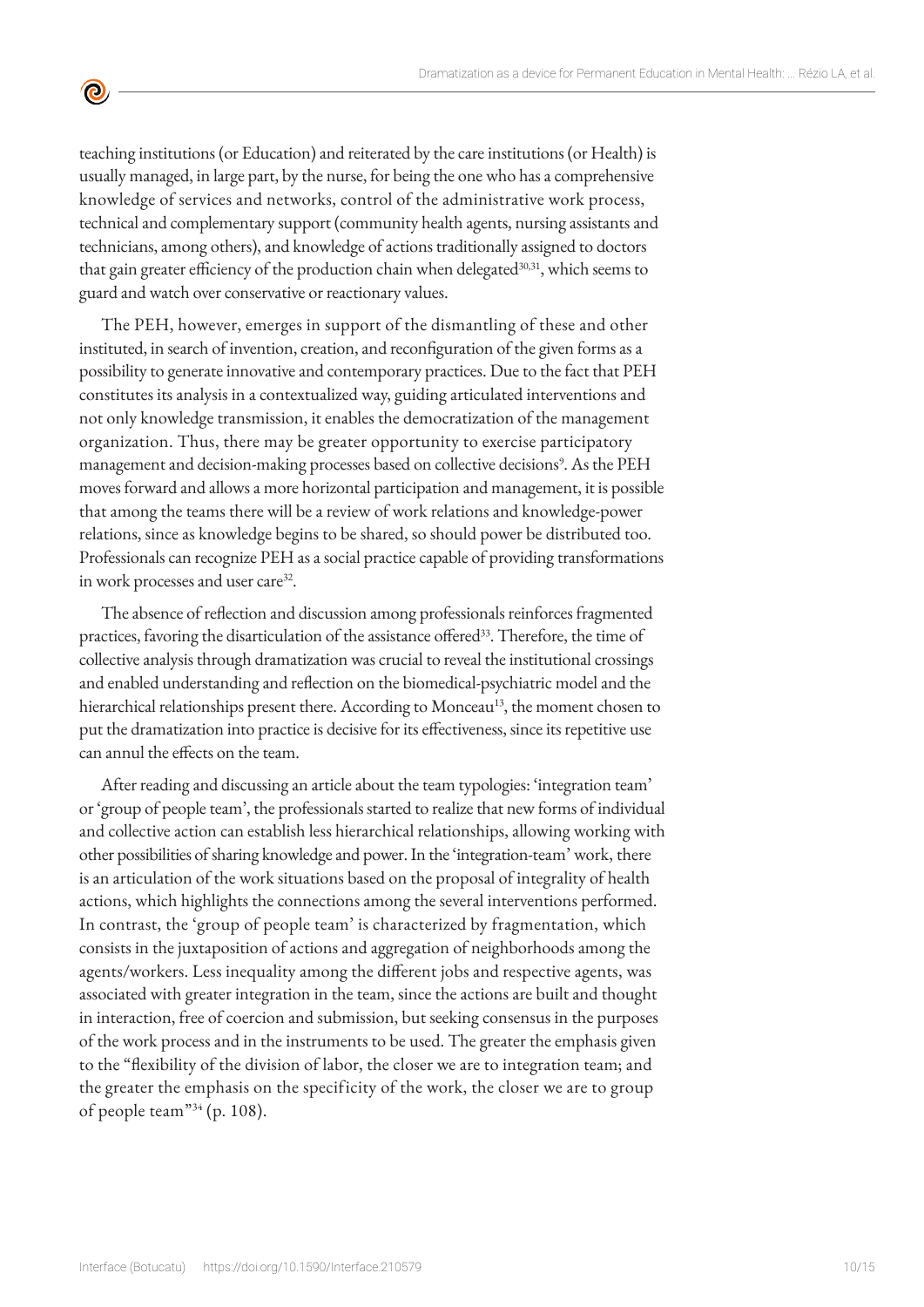teaching institutions (or Education) and reiterated by the care institutions (or Health) is usually managed, in large part, by the nurse, for being the one who has a comprehensive knowledge of services and networks, control of the administrative work process, technical and complementary support (community health agents, nursing assistants and technicians, among others), and knowledge of actions traditionally assigned to doctors that gain greater efficiency of the production chain when delegated<sup>30,31</sup>, which seems to guard and watch over conservative or reactionary values.

 $\bullet$ 

The PEH, however, emerges in support of the dismantling of these and other instituted, in search of invention, creation, and reconfiguration of the given forms as a possibility to generate innovative and contemporary practices. Due to the fact that PEH constitutes its analysis in a contextualized way, guiding articulated interventions and not only knowledge transmission, it enables the democratization of the management organization. Thus, there may be greater opportunity to exercise participatory management and decision-making processes based on collective decisions<sup>9</sup>. As the PEH moves forward and allows a more horizontal participation and management, it is possible that among the teams there will be a review of work relations and knowledge-power relations, since as knowledge begins to be shared, so should power be distributed too. Professionals can recognize PEH as a social practice capable of providing transformations in work processes and user care<sup>32</sup>.

The absence of reflection and discussion among professionals reinforces fragmented practices, favoring the disarticulation of the assistance offered<sup>33</sup>. Therefore, the time of collective analysis through dramatization was crucial to reveal the institutional crossings and enabled understanding and reflection on the biomedical-psychiatric model and the hierarchical relationships present there. According to Monceau<sup>13</sup>, the moment chosen to put the dramatization into practice is decisive for its effectiveness, since its repetitive use can annul the effects on the team.

After reading and discussing an article about the team typologies: 'integration team' or 'group of people team', the professionals started to realize that new forms of individual and collective action can establish less hierarchical relationships, allowing working with other possibilities of sharing knowledge and power. In the 'integration-team' work, there is an articulation of the work situations based on the proposal of integrality of health actions, which highlights the connections among the several interventions performed. In contrast, the 'group of people team' is characterized by fragmentation, which consists in the juxtaposition of actions and aggregation of neighborhoods among the agents/workers. Less inequality among the different jobs and respective agents, was associated with greater integration in the team, since the actions are built and thought in interaction, free of coercion and submission, but seeking consensus in the purposes of the work process and in the instruments to be used. The greater the emphasis given to the "flexibility of the division of labor, the closer we are to integration team; and the greater the emphasis on the specificity of the work, the closer we are to group of people team"34 (p. 108).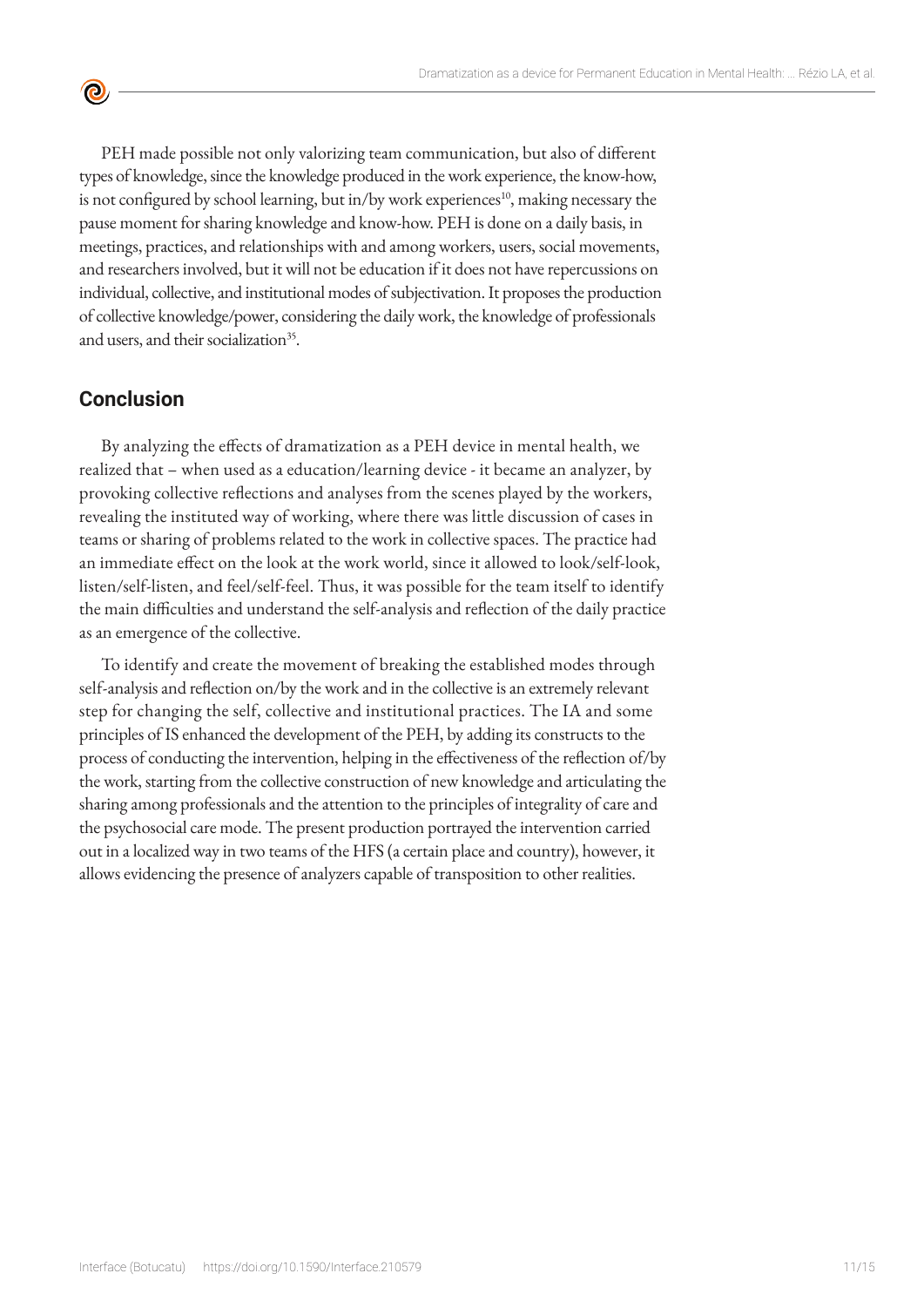PEH made possible not only valorizing team communication, but also of different types of knowledge, since the knowledge produced in the work experience, the know-how, is not configured by school learning, but in/by work experiences<sup>10</sup>, making necessary the pause moment for sharing knowledge and know-how. PEH is done on a daily basis, in meetings, practices, and relationships with and among workers, users, social movements, and researchers involved, but it will not be education if it does not have repercussions on individual, collective, and institutional modes of subjectivation. It proposes the production of collective knowledge/power, considering the daily work, the knowledge of professionals and users, and their socialization<sup>35</sup>.

# **Conclusion**

 $\bullet$ 

By analyzing the effects of dramatization as a PEH device in mental health, we realized that – when used as a education/learning device - it became an analyzer, by provoking collective reflections and analyses from the scenes played by the workers, revealing the instituted way of working, where there was little discussion of cases in teams or sharing of problems related to the work in collective spaces. The practice had an immediate effect on the look at the work world, since it allowed to look/self-look, listen/self-listen, and feel/self-feel. Thus, it was possible for the team itself to identify the main difficulties and understand the self-analysis and reflection of the daily practice as an emergence of the collective.

To identify and create the movement of breaking the established modes through self-analysis and reflection on/by the work and in the collective is an extremely relevant step for changing the self, collective and institutional practices. The IA and some principles of IS enhanced the development of the PEH, by adding its constructs to the process of conducting the intervention, helping in the effectiveness of the reflection of/by the work, starting from the collective construction of new knowledge and articulating the sharing among professionals and the attention to the principles of integrality of care and the psychosocial care mode. The present production portrayed the intervention carried out in a localized way in two teams of the HFS (a certain place and country), however, it allows evidencing the presence of analyzers capable of transposition to other realities.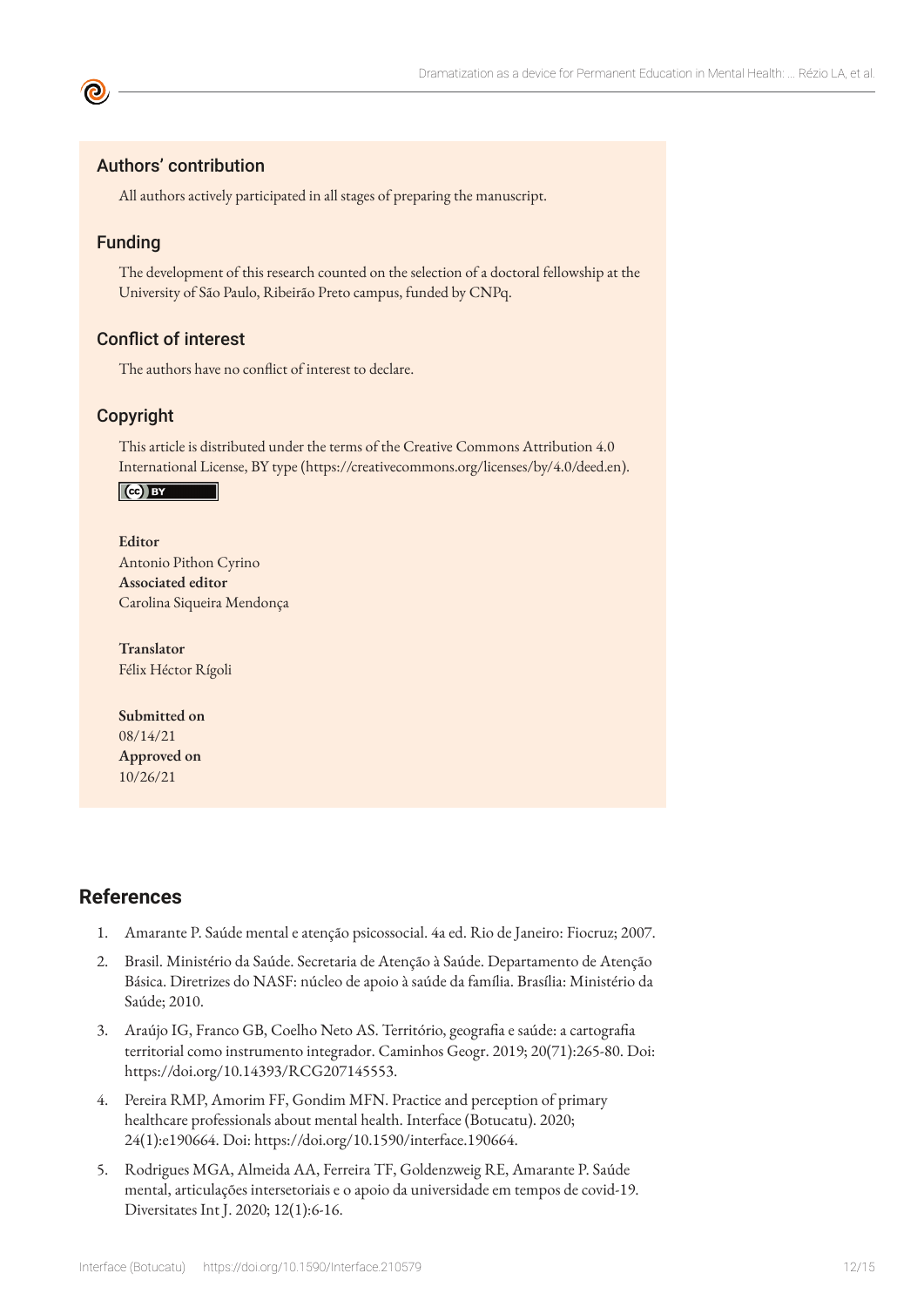#### Authors' contribution

All authors actively participated in all stages of preparing the manuscript.

#### Funding

The development of this research counted on the selection of a doctoral fellowship at the University of São Paulo, Ribeirão Preto campus, funded by CNPq.

#### Conflict of interest

The authors have no conflict of interest to declare.

#### Copyright

This article is distributed under the terms of the Creative Commons Attribution 4.0 International License, BY type (https://creativecommons.org/licenses/by/4.0/deed.en).

#### $\left($ cc) BY

**Editor** Antonio Pithon Cyrino **Associated editor** Carolina Siqueira Mendonça

**Translator** Félix Héctor Rígoli

**Submitted on** 08/14/21 **Approved on** 10/26/21

# **References**

- 1. Amarante P. Saúde mental e atenção psicossocial. 4a ed. Rio de Janeiro: Fiocruz; 2007.
- 2. Brasil. Ministério da Saúde. Secretaria de Atenção à Saúde. Departamento de Atenção Básica. Diretrizes do NASF: núcleo de apoio à saúde da família. Brasília: Ministério da Saúde; 2010.
- 3. Araújo IG, Franco GB, Coelho Neto AS. Território, geografia e saúde: a cartografia territorial como instrumento integrador. Caminhos Geogr. 2019; 20(71):265-80. Doi: https://doi.org/10.14393/RCG207145553.
- 4. Pereira RMP, Amorim FF, Gondim MFN. Practice and perception of primary healthcare professionals about mental health. Interface (Botucatu). 2020; 24(1):e190664. Doi: https://doi.org/10.1590/interface.190664.
- 5. Rodrigues MGA, Almeida AA, Ferreira TF, Goldenzweig RE, Amarante P. Saúde mental, articulações intersetoriais e o apoio da universidade em tempos de covid-19. Diversitates Int J. 2020; 12(1):6-16.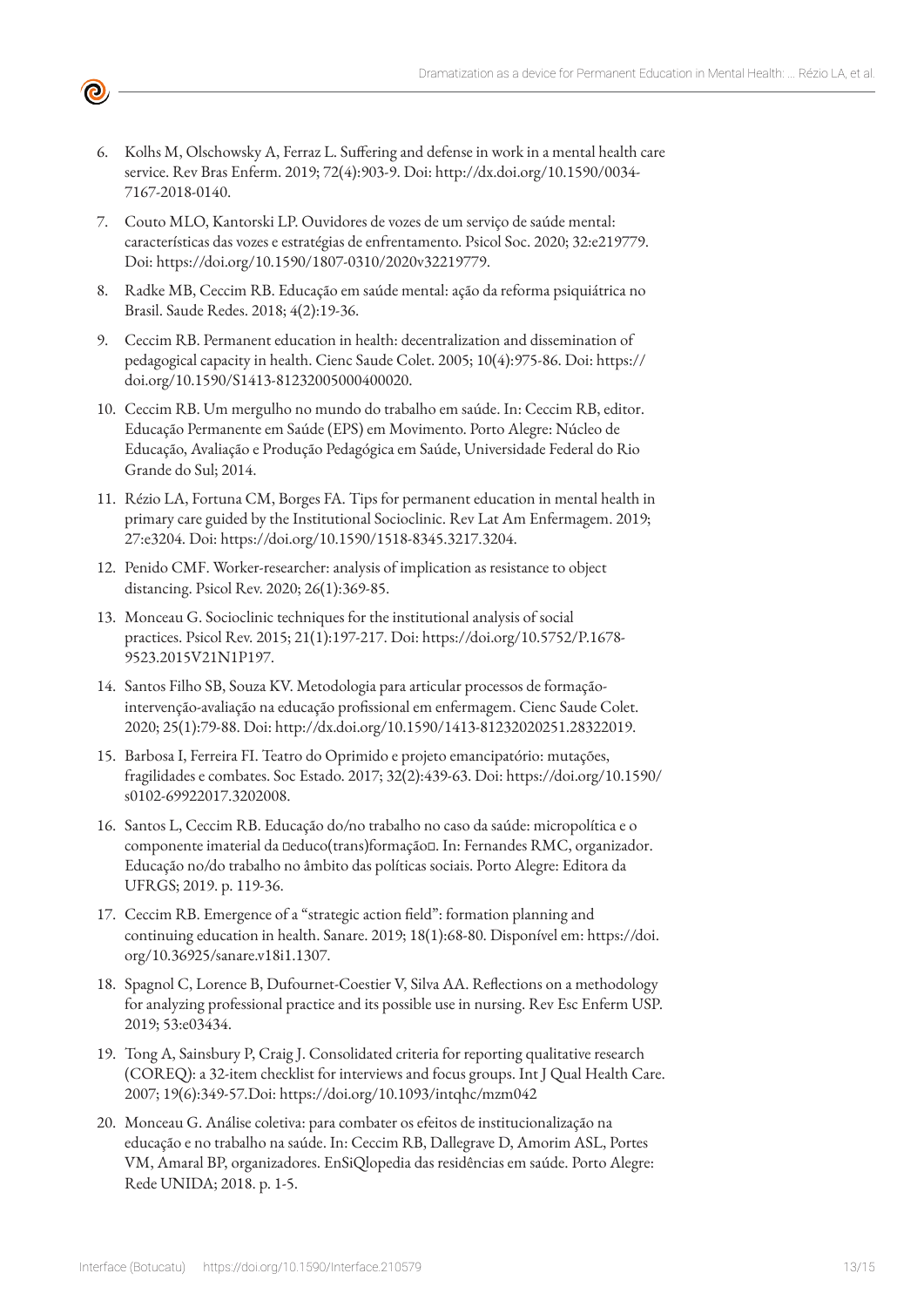

- 6. Kolhs M, Olschowsky A, Ferraz L. Suffering and defense in work in a mental health care service. Rev Bras Enferm. 2019; 72(4):903-9. Doi: http://dx.doi.org/10.1590/0034- 7167-2018-0140.
- 7. Couto MLO, Kantorski LP. Ouvidores de vozes de um serviço de saúde mental: características das vozes e estratégias de enfrentamento. Psicol Soc. 2020; 32:e219779. Doi: https://doi.org/10.1590/1807-0310/2020v32219779.
- 8. Radke MB, Ceccim RB. Educação em saúde mental: ação da reforma psiquiátrica no Brasil. Saude Redes. 2018; 4(2):19-36.
- 9. Ceccim RB. Permanent education in health: decentralization and dissemination of pedagogical capacity in health. Cienc Saude Colet. 2005; 10(4):975-86. Doi: https:// doi.org/10.1590/S1413-81232005000400020.
- 10. Ceccim RB. Um mergulho no mundo do trabalho em saúde. In: Ceccim RB, editor. Educação Permanente em Saúde (EPS) em Movimento. Porto Alegre: Núcleo de Educação, Avaliação e Produção Pedagógica em Saúde, Universidade Federal do Rio Grande do Sul; 2014.
- 11. Rézio LA, Fortuna CM, Borges FA. Tips for permanent education in mental health in primary care guided by the Institutional Socioclinic. Rev Lat Am Enfermagem. 2019; 27:e3204. Doi: https://doi.org/10.1590/1518-8345.3217.3204.
- 12. Penido CMF. Worker-researcher: analysis of implication as resistance to object distancing. Psicol Rev. 2020; 26(1):369-85.
- 13. Monceau G. Socioclinic techniques for the institutional analysis of social practices. Psicol Rev. 2015; 21(1):197-217. Doi: https://doi.org/10.5752/P.1678- 9523.2015V21N1P197.
- 14. Santos Filho SB, Souza KV. Metodologia para articular processos de formaçãointervenção-avaliação na educação profissional em enfermagem. Cienc Saude Colet. 2020; 25(1):79-88. Doi: http://dx.doi.org/10.1590/1413-81232020251.28322019.
- 15. Barbosa I, Ferreira FI. Teatro do Oprimido e projeto emancipatório: mutações, fragilidades e combates. Soc Estado. 2017; 32(2):439-63. Doi: https://doi.org/10.1590/ s0102-69922017.3202008.
- 16. Santos L, Ceccim RB. Educação do/no trabalho no caso da saúde: micropolítica e o componente imaterial da ¤educo(trans)formação¤. In: Fernandes RMC, organizador. Educação no/do trabalho no âmbito das políticas sociais. Porto Alegre: Editora da UFRGS; 2019. p. 119-36.
- 17. Ceccim RB. Emergence of a "strategic action field": formation planning and continuing education in health. Sanare. 2019; 18(1):68-80. Disponível em: https://doi. org/10.36925/sanare.v18i1.1307.
- 18. Spagnol C, Lorence B, Dufournet-Coestier V, Silva AA. Reflections on a methodology for analyzing professional practice and its possible use in nursing. Rev Esc Enferm USP. 2019; 53:e03434.
- 19. Tong A, Sainsbury P, Craig J. Consolidated criteria for reporting qualitative research (COREQ): a 32-item checklist for interviews and focus groups. Int J Qual Health Care. 2007; 19(6):349-57.Doi: https://doi.org/10.1093/intqhc/mzm042
- 20. Monceau G. Análise coletiva: para combater os efeitos de institucionalização na educação e no trabalho na saúde. In: Ceccim RB, Dallegrave D, Amorim ASL, Portes VM, Amaral BP, organizadores. EnSiQlopedia das residências em saúde. Porto Alegre: Rede UNIDA; 2018. p. 1-5.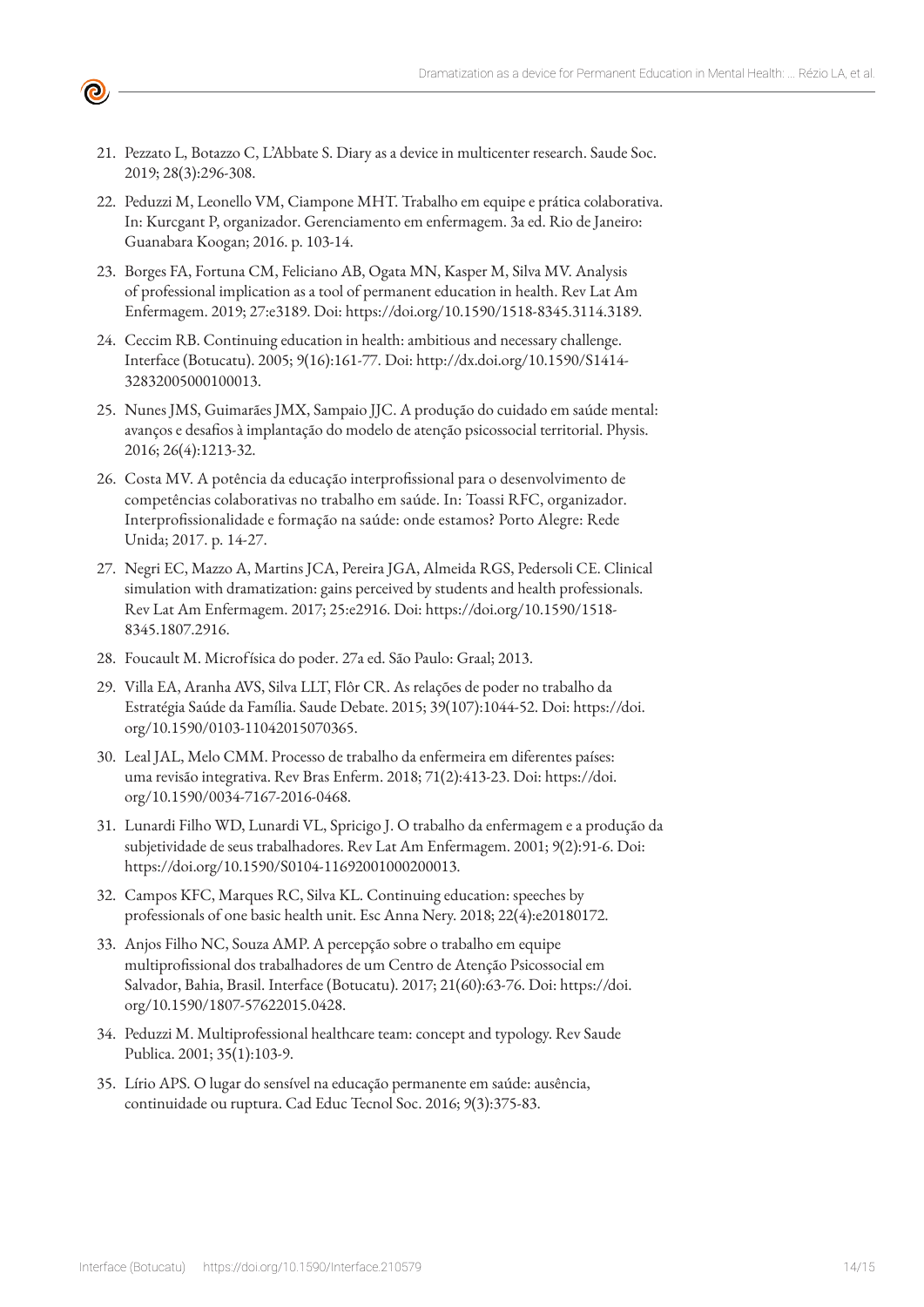- 21. Pezzato L, Botazzo C, L'Abbate S. Diary as a device in multicenter research. Saude Soc. 2019; 28(3):296-308.
- 22. Peduzzi M, Leonello VM, Ciampone MHT. Trabalho em equipe e prática colaborativa. In: Kurcgant P, organizador. Gerenciamento em enfermagem. 3a ed. Rio de Janeiro: Guanabara Koogan; 2016. p. 103-14.
- 23. Borges FA, Fortuna CM, Feliciano AB, Ogata MN, Kasper M, Silva MV. Analysis of professional implication as a tool of permanent education in health. Rev Lat Am Enfermagem. 2019; 27:e3189. Doi: https://doi.org/10.1590/1518-8345.3114.3189.
- 24. Ceccim RB. Continuing education in health: ambitious and necessary challenge. Interface (Botucatu). 2005; 9(16):161-77. Doi: http://dx.doi.org/10.1590/S1414- 32832005000100013.
- 25. Nunes JMS, Guimarães JMX, Sampaio JJC. A produção do cuidado em saúde mental: avanços e desafios à implantação do modelo de atenção psicossocial territorial. Physis. 2016; 26(4):1213-32.
- 26. Costa MV. A potência da educação interprofissional para o desenvolvimento de competências colaborativas no trabalho em saúde. In: Toassi RFC, organizador. Interprofissionalidade e formação na saúde: onde estamos? Porto Alegre: Rede Unida; 2017. p. 14-27.
- 27. Negri EC, Mazzo A, Martins JCA, Pereira JGA, Almeida RGS, Pedersoli CE. Clinical simulation with dramatization: gains perceived by students and health professionals. Rev Lat Am Enfermagem. 2017; 25:e2916. Doi: https://doi.org/10.1590/1518- 8345.1807.2916.
- 28. Foucault M. Microfísica do poder. 27a ed. São Paulo: Graal; 2013.
- 29. Villa EA, Aranha AVS, Silva LLT, Flôr CR. As relações de poder no trabalho da Estratégia Saúde da Família. Saude Debate. 2015; 39(107):1044-52. Doi: https://doi. org/10.1590/0103-11042015070365.
- 30. Leal JAL, Melo CMM. Processo de trabalho da enfermeira em diferentes países: uma revisão integrativa. Rev Bras Enferm. 2018; 71(2):413-23. Doi: https://doi. org/10.1590/0034-7167-2016-0468.
- 31. Lunardi Filho WD, Lunardi VL, Spricigo J. O trabalho da enfermagem e a produção da subjetividade de seus trabalhadores. Rev Lat Am Enfermagem. 2001; 9(2):91-6. Doi: https://doi.org/10.1590/S0104-11692001000200013.
- 32. Campos KFC, Marques RC, Silva KL. Continuing education: speeches by professionals of one basic health unit. Esc Anna Nery. 2018; 22(4):e20180172.
- 33. Anjos Filho NC, Souza AMP. A percepção sobre o trabalho em equipe multiprofissional dos trabalhadores de um Centro de Atenção Psicossocial em Salvador, Bahia, Brasil. Interface (Botucatu). 2017; 21(60):63-76. Doi: https://doi. org/10.1590/1807-57622015.0428.
- 34. Peduzzi M. Multiprofessional healthcare team: concept and typology. Rev Saude Publica. 2001; 35(1):103-9.
- 35. Lírio APS. O lugar do sensível na educação permanente em saúde: ausência, continuidade ou ruptura. Cad Educ Tecnol Soc. 2016; 9(3):375-83.